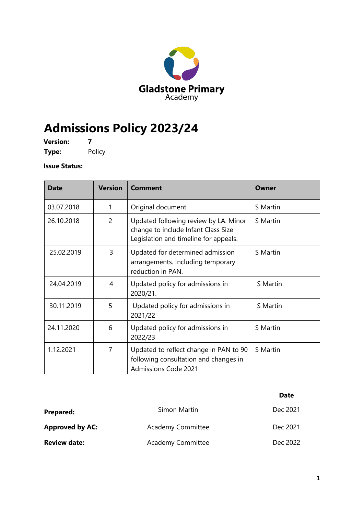

# **Admissions Policy 2023/24**

**Version: 7 Type:** Policy

## **Issue Status:**

| <b>Date</b> | <b>Version</b> | Comment                                                                                                               | Owner    |
|-------------|----------------|-----------------------------------------------------------------------------------------------------------------------|----------|
| 03.07.2018  | 1              | Original document                                                                                                     | S Martin |
| 26.10.2018  | $\overline{2}$ | Updated following review by LA. Minor<br>change to include Infant Class Size<br>Legislation and timeline for appeals. | S Martin |
| 25.02.2019  | 3              | Updated for determined admission<br>arrangements. Including temporary<br>reduction in PAN.                            | S Martin |
| 24.04.2019  | 4              | Updated policy for admissions in<br>2020/21.                                                                          | S Martin |
| 30.11.2019  | 5              | Updated policy for admissions in<br>2021/22                                                                           | S Martin |
| 24.11.2020  | 6              | Updated policy for admissions in<br>2022/23                                                                           | S Martin |
| 1.12.2021   | 7              | Updated to reflect change in PAN to 90<br>following consultation and changes in<br><b>Admissions Code 2021</b>        | S Martin |

|                        |                          | <b>Date</b> |
|------------------------|--------------------------|-------------|
| <b>Prepared:</b>       | Simon Martin             | Dec 2021    |
| <b>Approved by AC:</b> | <b>Academy Committee</b> | Dec 2021    |
| <b>Review date:</b>    | <b>Academy Committee</b> | Dec 2022    |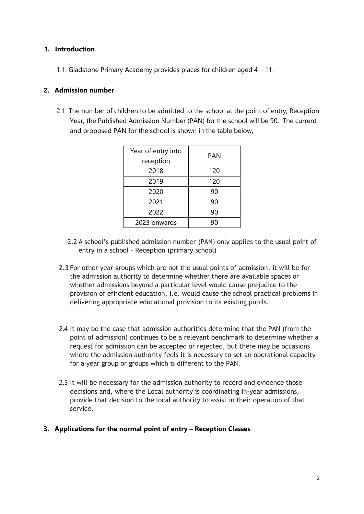## **1. Introduction**

1.1. Gladstone Primary Academy provides places for children aged 4 – 11.

#### **2. Admission number**

2.1. The number of children to be admitted to the school at the point of entry, Reception Year, the Published Admission Number (PAN) for the school will be 90. The current and proposed PAN for the school is shown in the table below,

| Year of entry into<br>reception | PAN |
|---------------------------------|-----|
| 2018                            | 120 |
| 2019                            | 120 |
| 2020                            | 90  |
| 2021                            | 90  |
| 2022                            | 90  |
| 2023 onwards                    | 90  |

- 2.2 A school's published admission number (PAN) only applies to the usual point of entry in a school – Reception (primary school)
- 2.3 For other year groups which are not the usual points of admission, it will be for the admission authority to determine whether there are available spaces or whether admissions beyond a particular level would cause prejudice to the provision of efficient education, i.e. would cause the school practical problems in delivering appropriate educational provision to its existing pupils.
- 2.4 It may be the case that admission authorities determine that the PAN (from the point of admission) continues to be a relevant benchmark to determine whether a request for admission can be accepted or rejected, but there may be occasions where the admission authority feels it is necessary to set an operational capacity for a year group or groups which is different to the PAN.
- 2.5 It will be necessary for the admission authority to record and evidence those decisions and, where the Local authority is coordinating in-year admissions, provide that decision to the local authority to assist in their operation of that service.
- **3. Applications for the normal point of entry Reception Classes**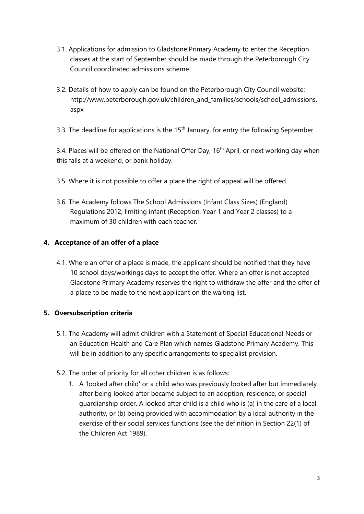- 3.1. Applications for admission to Gladstone Primary Academy to enter the Reception classes at the start of September should be made through the Peterborough City Council coordinated admissions scheme.
- 3.2. Details of how to apply can be found on the Peterborough City Council website: http://www.peterborough.gov.uk/children\_and\_families/schools/school\_admissions. aspx
- 3.3. The deadline for applications is the  $15<sup>th</sup>$  January, for entry the following September.

3.4. Places will be offered on the National Offer Day,  $16<sup>th</sup>$  April, or next working day when this falls at a weekend, or bank holiday.

- 3.5. Where it is not possible to offer a place the right of appeal will be offered.
- 3.6. The Academy follows The School Admissions (Infant Class Sizes) (England) Regulations 2012, limiting infant (Reception, Year 1 and Year 2 classes) to a maximum of 30 children with each teacher

## **4. Acceptance of an offer of a place**

4.1. Where an offer of a place is made, the applicant should be notified that they have 10 school days/workings days to accept the offer. Where an offer is not accepted Gladstone Primary Academy reserves the right to withdraw the offer and the offer of a place to be made to the next applicant on the waiting list.

## **5. Oversubscription criteria**

- 5.1. The Academy will admit children with a Statement of Special Educational Needs or an Education Health and Care Plan which names Gladstone Primary Academy. This will be in addition to any specific arrangements to specialist provision.
- 5.2. The order of priority for all other children is as follows:
	- 1. A 'looked after child' or a child who was previously looked after but immediately after being looked after became subject to an adoption, residence, or special guardianship order. A looked after child is a child who is (a) in the care of a local authority, or (b) being provided with accommodation by a local authority in the exercise of their social services functions (see the definition in Section 22(1) of the Children Act 1989).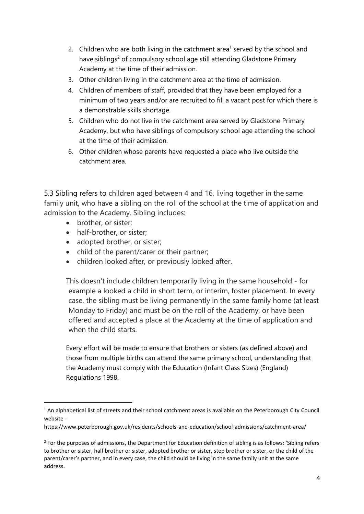- 2. Children who are both living in the catchment area<sup>1</sup> served by the school and have siblings<sup>2</sup> of compulsory school age still attending Gladstone Primary Academy at the time of their admission.
- 3. Other children living in the catchment area at the time of admission.
- 4. Children of members of staff, provided that they have been employed for a minimum of two years and/or are recruited to fill a vacant post for which there is a demonstrable skills shortage.
- 5. Children who do not live in the catchment area served by Gladstone Primary Academy, but who have siblings of compulsory school age attending the school at the time of their admission.
- 6. Other children whose parents have requested a place who live outside the catchment area.

5.3 Sibling refers to children aged between 4 and 16, living together in the same family unit, who have a sibling on the roll of the school at the time of application and admission to the Academy. Sibling includes:

- brother, or sister;
- half-brother, or sister;
- adopted brother, or sister;
- child of the parent/carer or their partner;
- children looked after, or previously looked after.

This doesn't include children temporarily living in the same household - for example a looked a child in short term, or interim, foster placement. In every case, the sibling must be living permanently in the same family home (at least Monday to Friday) and must be on the roll of the Academy, or have been offered and accepted a place at the Academy at the time of application and when the child starts.

Every effort will be made to ensure that brothers or sisters (as defined above) and those from multiple births can attend the same primary school, understanding that the Academy must comply with the Education (Infant Class Sizes) (England) Regulations 1998.

<sup>&</sup>lt;sup>1</sup> An alphabetical list of streets and their school catchment areas is available on the Peterborough City Council website -

https://www.peterborough.gov.uk/residents/schools-and-education/school-admissions/catchment-area/

 $2$  For the purposes of admissions, the Department for Education definition of sibling is as follows: 'Sibling refers to brother or sister, half brother or sister, adopted brother or sister, step brother or sister, or the child of the parent/carer's partner, and in every case, the child should be living in the same family unit at the same address.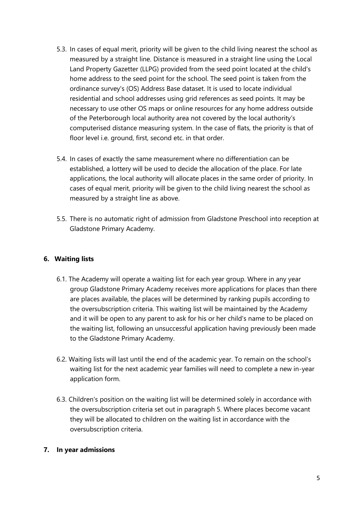- 5.3. In cases of equal merit, priority will be given to the child living nearest the school as measured by a straight line. Distance is measured in a straight line using the Local Land Property Gazetter (LLPG) provided from the seed point located at the child's home address to the seed point for the school. The seed point is taken from the ordinance survey's (OS) Address Base dataset. It is used to locate individual residential and school addresses using grid references as seed points. It may be necessary to use other OS maps or online resources for any home address outside of the Peterborough local authority area not covered by the local authority's computerised distance measuring system. In the case of flats, the priority is that of floor level i.e. ground, first, second etc. in that order.
- 5.4. In cases of exactly the same measurement where no differentiation can be established, a lottery will be used to decide the allocation of the place. For late applications, the local authority will allocate places in the same order of priority. In cases of equal merit, priority will be given to the child living nearest the school as measured by a straight line as above.
- 5.5. There is no automatic right of admission from Gladstone Preschool into reception at Gladstone Primary Academy.

## **6. Waiting lists**

- 6.1. The Academy will operate a waiting list for each year group. Where in any year group Gladstone Primary Academy receives more applications for places than there are places available, the places will be determined by ranking pupils according to the oversubscription criteria. This waiting list will be maintained by the Academy and it will be open to any parent to ask for his or her child's name to be placed on the waiting list, following an unsuccessful application having previously been made to the Gladstone Primary Academy.
- 6.2. Waiting lists will last until the end of the academic year. To remain on the school's waiting list for the next academic year families will need to complete a new in-year application form.
- 6.3. Children's position on the waiting list will be determined solely in accordance with the oversubscription criteria set out in paragraph 5. Where places become vacant they will be allocated to children on the waiting list in accordance with the oversubscription criteria.

## **7. In year admissions**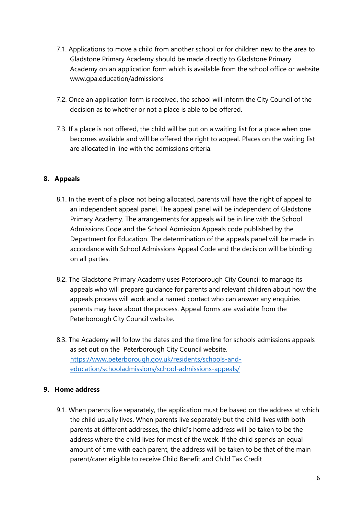- 7.1. Applications to move a child from another school or for children new to the area to Gladstone Primary Academy should be made directly to Gladstone Primary Academy on an application form which is available from the school office or website www.gpa.education/admissions
- 7.2. Once an application form is received, the school will inform the City Council of the decision as to whether or not a place is able to be offered.
- 7.3. If a place is not offered, the child will be put on a waiting list for a place when one becomes available and will be offered the right to appeal. Places on the waiting list are allocated in line with the admissions criteria.

## **8. Appeals**

- 8.1. In the event of a place not being allocated, parents will have the right of appeal to an independent appeal panel. The appeal panel will be independent of Gladstone Primary Academy. The arrangements for appeals will be in line with the School Admissions Code and the School Admission Appeals code published by the Department for Education. The determination of the appeals panel will be made in accordance with School Admissions Appeal Code and the decision will be binding on all parties.
- 8.2. The Gladstone Primary Academy uses Peterborough City Council to manage its appeals who will prepare guidance for parents and relevant children about how the appeals process will work and a named contact who can answer any enquiries parents may have about the process. Appeal forms are available from the Peterborough City Council website.
- 8.3. The Academy will follow the dates and the time line for schools admissions appeals as set out on the Peterborough City Council website. [https://www.peterborough.gov.uk/residents/schools-and](https://www.peterborough.gov.uk/residents/schools-and-education/school-admissions/school-admissions-appeals/)[education/schooladmissions/school-admissions-appeals/](https://www.peterborough.gov.uk/residents/schools-and-education/school-admissions/school-admissions-appeals/)

## **9. Home address**

9.1. When parents live separately, the application must be based on the address at which the child usually lives. When parents live separately but the child lives with both parents at different addresses, the child's home address will be taken to be the address where the child lives for most of the week. If the child spends an equal amount of time with each parent, the address will be taken to be that of the main parent/carer eligible to receive Child Benefit and Child Tax Credit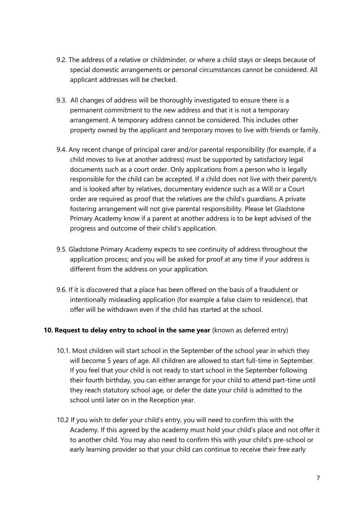- 9.2. The address of a relative or childminder, or where a child stays or sleeps because of special domestic arrangements or personal circumstances cannot be considered. All applicant addresses will be checked.
- 9.3. All changes of address will be thoroughly investigated to ensure there is a permanent commitment to the new address and that it is not a temporary arrangement. A temporary address cannot be considered. This includes other property owned by the applicant and temporary moves to live with friends or family.
- 9.4. Any recent change of principal carer and/or parental responsibility (for example, if a child moves to live at another address) must be supported by satisfactory legal documents such as a court order. Only applications from a person who is legally responsible for the child can be accepted. If a child does not live with their parent/s and is looked after by relatives, documentary evidence such as a Will or a Court order are required as proof that the relatives are the child's guardians. A private fostering arrangement will not give parental responsibility. Please let Gladstone Primary Academy know if a parent at another address is to be kept advised of the progress and outcome of their child's application.
- 9.5. Gladstone Primary Academy expects to see continuity of address throughout the application process; and you will be asked for proof at any time if your address is different from the address on your application.
- 9.6. If it is discovered that a place has been offered on the basis of a fraudulent or intentionally misleading application (for example a false claim to residence), that offer will be withdrawn even if the child has started at the school.

## **10. Request to delay entry to school in the same year** (known as deferred entry)

- 10.1. Most children will start school in the September of the school year in which they will become 5 years of age. All children are allowed to start full-time in September. If you feel that your child is not ready to start school in the September following their fourth birthday, you can either arrange for your child to attend part-time until they reach statutory school age, or defer the date your child is admitted to the school until later on in the Reception year.
- 10.2 If you wish to defer your child's entry, you will need to confirm this with the Academy. If this agreed by the academy must hold your child's place and not offer it to another child. You may also need to confirm this with your child's pre-school or early learning provider so that your child can continue to receive their free early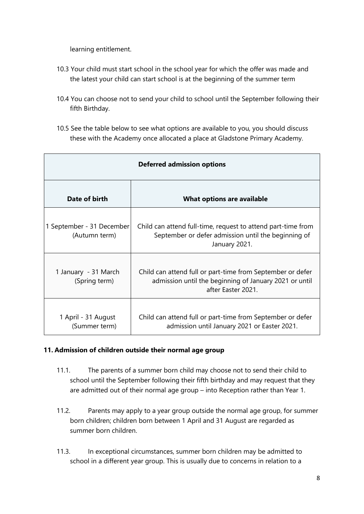learning entitlement.

- 10.3 Your child must start school in the school year for which the offer was made and the latest your child can start school is at the beginning of the summer term
- 10.4 You can choose not to send your child to school until the September following their fifth Birthday.
- 10.5 See the table below to see what options are available to you, you should discuss these with the Academy once allocated a place at Gladstone Primary Academy.

| <b>Deferred admission options</b>          |                                                                                                                                            |  |  |  |
|--------------------------------------------|--------------------------------------------------------------------------------------------------------------------------------------------|--|--|--|
| Date of birth                              | What options are available                                                                                                                 |  |  |  |
| 1 September - 31 December<br>(Autumn term) | Child can attend full-time, request to attend part-time from<br>September or defer admission until the beginning of<br>January 2021.       |  |  |  |
| 1 January - 31 March<br>(Spring term)      | Child can attend full or part-time from September or defer<br>admission until the beginning of January 2021 or until<br>after Easter 2021. |  |  |  |
| 1 April - 31 August<br>(Summer term)       | Child can attend full or part-time from September or defer<br>admission until January 2021 or Easter 2021.                                 |  |  |  |

## **11. Admission of children outside their normal age group**

- 11.1. The parents of a summer born child may choose not to send their child to school until the September following their fifth birthday and may request that they are admitted out of their normal age group – into Reception rather than Year 1.
- 11.2. Parents may apply to a year group outside the normal age group, for summer born children; children born between 1 April and 31 August are regarded as summer born children.
- 11.3. In exceptional circumstances, summer born children may be admitted to school in a different year group. This is usually due to concerns in relation to a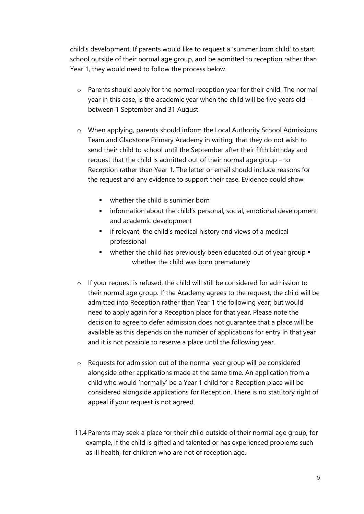child's development. If parents would like to request a 'summer born child' to start school outside of their normal age group, and be admitted to reception rather than Year 1, they would need to follow the process below.

- o Parents should apply for the normal reception year for their child. The normal year in this case, is the academic year when the child will be five years old – between 1 September and 31 August.
- $\circ$  When applying, parents should inform the Local Authority School Admissions Team and Gladstone Primary Academy in writing, that they do not wish to send their child to school until the September after their fifth birthday and request that the child is admitted out of their normal age group – to Reception rather than Year 1. The letter or email should include reasons for the request and any evidence to support their case. Evidence could show:
	- whether the child is summer born
	- **•** information about the child's personal, social, emotional development and academic development
	- **E** if relevant, the child's medical history and views of a medical professional
	- whether the child has previously been educated out of year group whether the child was born prematurely
- $\circ$  If your request is refused, the child will still be considered for admission to their normal age group. If the Academy agrees to the request, the child will be admitted into Reception rather than Year 1 the following year; but would need to apply again for a Reception place for that year. Please note the decision to agree to defer admission does not guarantee that a place will be available as this depends on the number of applications for entry in that year and it is not possible to reserve a place until the following year.
- o Requests for admission out of the normal year group will be considered alongside other applications made at the same time. An application from a child who would 'normally' be a Year 1 child for a Reception place will be considered alongside applications for Reception. There is no statutory right of appeal if your request is not agreed.
- 11.4 Parents may seek a place for their child outside of their normal age group, for example, if the child is gifted and talented or has experienced problems such as ill health, for children who are not of reception age.